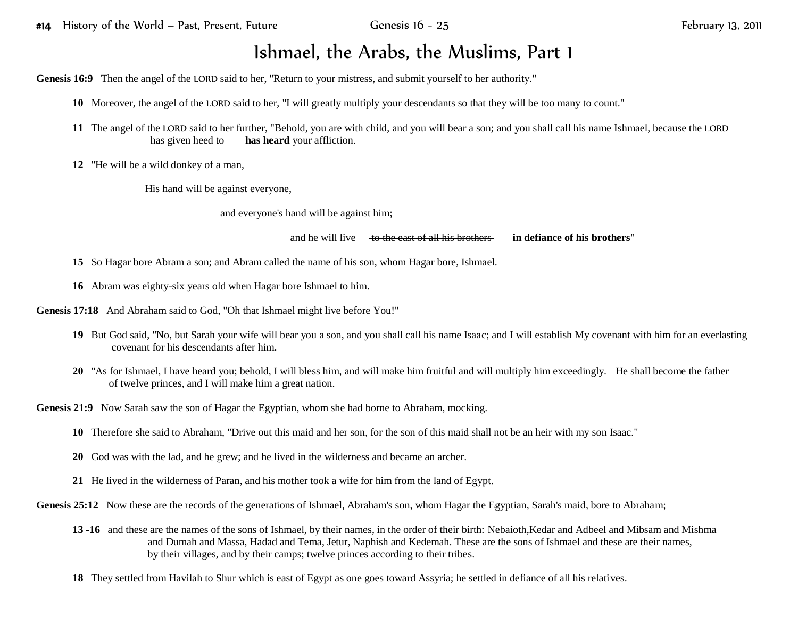## Ishmael, the Arabs, the Muslims, Part 1

**Genesis 16:9** Then the angel of the LORD said to her, "Return to your mistress, and submit yourself to her authority."

**10** Moreover, the angel of the LORD said to her, "I will greatly multiply your descendants so that they will be too many to count."

- **11** The angel of the LORD said to her further, "Behold, you are with child, and you will bear a son; and you shall call his name Ishmael, because the LORD has given heed to **has heard** your affliction.
- **12** "He will be a wild donkey of a man,

His hand will be against everyone,

and everyone's hand will be against him;

and he will live to the east of all his brothers **in defiance of his brothers**"

- **15** So Hagar bore Abram a son; and Abram called the name of his son, whom Hagar bore, Ishmael.
- **16** Abram was eighty-six years old when Hagar bore Ishmael to him.

**Genesis 17:18** And Abraham said to God, "Oh that Ishmael might live before You!"

- **19** But God said, "No, but Sarah your wife will bear you a son, and you shall call his name Isaac; and I will establish My covenant with him for an everlasting covenant for his descendants after him.
- **20** "As for Ishmael, I have heard you; behold, I will bless him, and will make him fruitful and will multiply him exceedingly. He shall become the father of twelve princes, and I will make him a great nation.

**Genesis 21:9** Now Sarah saw the son of Hagar the Egyptian, whom she had borne to Abraham, mocking.

- **10** Therefore she said to Abraham, "Drive out this maid and her son, for the son of this maid shall not be an heir with my son Isaac."
- **20** God was with the lad, and he grew; and he lived in the wilderness and became an archer.
- **21** He lived in the wilderness of Paran, and his mother took a wife for him from the land of Egypt.

Genesis 25:12 Now these are the records of the generations of Ishmael, Abraham's son, whom Hagar the Egyptian, Sarah's maid, bore to Abraham;

- **13 -16** and these are the names of the sons of Ishmael, by their names, in the order of their birth: Nebaioth,Kedar and Adbeel and Mibsam and Mishma and Dumah and Massa, Hadad and Tema, Jetur, Naphish and Kedemah. These are the sons of Ishmael and these are their names, by their villages, and by their camps; twelve princes according to their tribes.
- **18** They settled from Havilah to Shur which is east of Egypt as one goes toward Assyria; he settled in defiance of all his relatives.